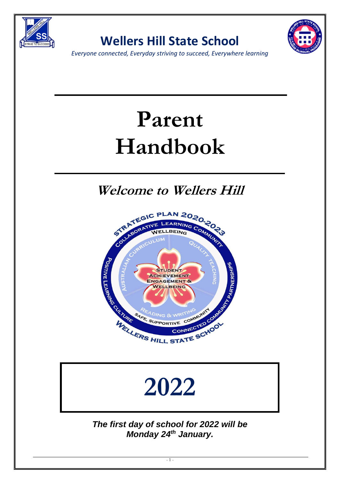

**Wellers Hill State School**



*Everyone connected, Everyday striving to succeed, Everywhere learning*

# **Parent Handbook**

**Welcome to Wellers Hill**



# **2022**

*The first day of school for 2022 will be Monday 24 th January.*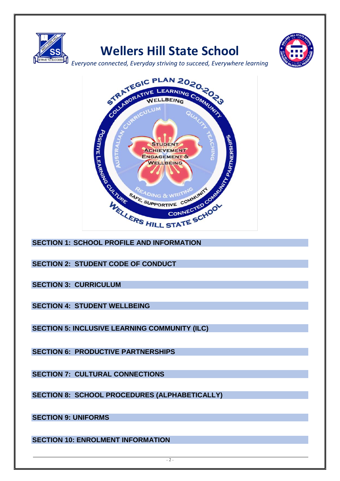

# **Wellers Hill State School**



*Everyone connected, Everyday striving to succeed, Everywhere learning*



**SECTION 2: STUDENT CODE OF CONDUCT**

**SECTION 3: CURRICULUM**

**SECTION 4: STUDENT WELLBEING**

**SECTION 5: INCLUSIVE LEARNING COMMUNITY (ILC)**

**SECTION 6: PRODUCTIVE PARTNERSHIPS**

**SECTION 7: CULTURAL CONNECTIONS**

**SECTION 8: SCHOOL PROCEDURES (ALPHABETICALLY)**

**SECTION 9: UNIFORMS**

**SECTION 10: ENROLMENT INFORMATION**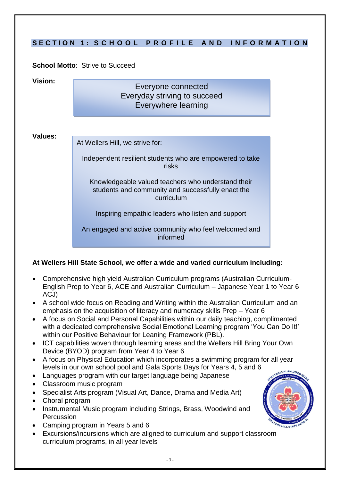|                | SECTION 1: SCHOOL PROFILE AND INFORMATION                                                                             |  |
|----------------|-----------------------------------------------------------------------------------------------------------------------|--|
|                |                                                                                                                       |  |
|                | <b>School Motto: Strive to Succeed</b>                                                                                |  |
| Vision:        | Everyone connected<br>Everyday striving to succeed<br>Everywhere learning                                             |  |
| <b>Values:</b> | At Wellers Hill, we strive for:                                                                                       |  |
|                | Independent resilient students who are empowered to take<br>risks                                                     |  |
|                | Knowledgeable valued teachers who understand their<br>students and community and successfully enact the<br>curriculum |  |
|                | Inspiring empathic leaders who listen and support                                                                     |  |
|                | An engaged and active community who feel welcomed and<br>informed                                                     |  |

# **At Wellers Hill State School, we offer a wide and varied curriculum including:**

- Comprehensive high yield Australian Curriculum programs (Australian Curriculum-English Prep to Year 6, ACE and Australian Curriculum – Japanese Year 1 to Year 6 ACJ)
- A school wide focus on Reading and Writing within the Australian Curriculum and an emphasis on the acquisition of literacy and numeracy skills Prep – Year 6
- A focus on Social and Personal Capabilities within our daily teaching, complimented with a dedicated comprehensive Social Emotional Learning program 'You Can Do It!' within our Positive Behaviour for Leaning Framework (PBL).
- ICT capabilities woven through learning areas and the Wellers Hill Bring Your Own Device (BYOD) program from Year 4 to Year 6
- A focus on Physical Education which incorporates a swimming program for all year levels in our own school pool and Gala Sports Days for Years 4, 5 and 6
- Languages program with our target language being Japanese
- Classroom music program
- Specialist Arts program (Visual Art, Dance, Drama and Media Art)
- Choral program
- Instrumental Music program including Strings, Brass, Woodwind and Percussion
- Camping program in Years 5 and 6
- Excursions/incursions which are aligned to curriculum and support classroom curriculum programs, in all year levels

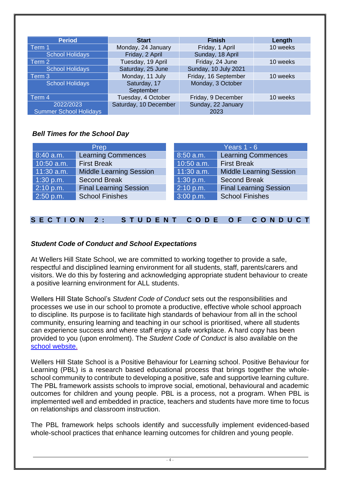| <b>Period</b>                              | <b>Start</b>              | <b>Finish</b>              | Length   |
|--------------------------------------------|---------------------------|----------------------------|----------|
| Term 1                                     | Monday, 24 January        | Friday, 1 April            | 10 weeks |
| <b>School Holidays</b>                     | Friday, 2 April           | Sunday, 18 April           |          |
| Term 2                                     | Tuesday, 19 April         | Friday, 24 June            | 10 weeks |
| <b>School Holidays</b>                     | Saturday, 25 June         | Sunday, 10 July 2021       |          |
| Term 3                                     | Monday, 11 July           | Friday, 16 September       | 10 weeks |
| <b>School Holidays</b>                     | Saturday, 17<br>September | Monday, 3 October          |          |
| Term 4                                     | Tuesday, 4 October        | Friday, 9 December         | 10 weeks |
| 2022/2023<br><b>Summer School Holidays</b> | Saturday, 10 December     | Sunday, 22 January<br>2023 |          |

# *Bell Times for the School Day*

|              | Prep                           | Years $1 - 6$ |                                |  |  |
|--------------|--------------------------------|---------------|--------------------------------|--|--|
| $8:40$ a.m.  | <b>Learning Commences</b>      | 8:50 a.m.     | <b>Learning Commences</b>      |  |  |
| $10:50$ a.m. | <b>First Break</b>             | 10:50 a.m.    | <b>First Break</b>             |  |  |
| $11:30$ a.m. | <b>Middle Learning Session</b> | $11:30$ a.m.  | <b>Middle Learning Session</b> |  |  |
| $1:30$ p.m.  | <b>Second Break</b>            | 1:30 p.m.     | <b>Second Break</b>            |  |  |
| $2:10$ p.m.  | <b>Final Learning Session</b>  | 2:10 p.m.     | <b>Final Learning Session</b>  |  |  |
| 2:50 p.m.    | <b>School Finishes</b>         | 3:00 p.m.     | <b>School Finishes</b>         |  |  |

# **S E C T I O N 2 : S T U D E N T C O D E O F C O N D U C T**

# *Student Code of Conduct and School Expectations*

At Wellers Hill State School, we are committed to working together to provide a safe, respectful and disciplined learning environment for all students, staff, parents/carers and visitors. We do this by fostering and acknowledging appropriate student behaviour to create a positive learning environment for ALL students.

Wellers Hill State School's *Student Code of Conduct* sets out the responsibilities and processes we use in our school to promote a productive, effective whole school approach to discipline. Its purpose is to facilitate high standards of behaviour from all in the school community, ensuring learning and teaching in our school is prioritised, where all students can experience success and where staff enjoy a safe workplace. A hard copy has been provided to you (upon enrolment). The *Student Code of Conduct* is also available on the [school website.](http://www.wellhillss.eq.edu.au/)

Wellers Hill State School is a Positive Behaviour for Learning school. Positive Behaviour for Learning (PBL) is a research based educational process that brings together the wholeschool community to contribute to developing a positive, safe and supportive learning culture. The PBL framework assists schools to improve social, emotional, behavioural and academic outcomes for children and young people. PBL is a process, not a program. When PBL is implemented well and embedded in practice, teachers and students have more time to focus on relationships and classroom instruction.

The PBL framework helps schools identify and successfully implement evidenced-based whole-school practices that enhance learning outcomes for children and young people.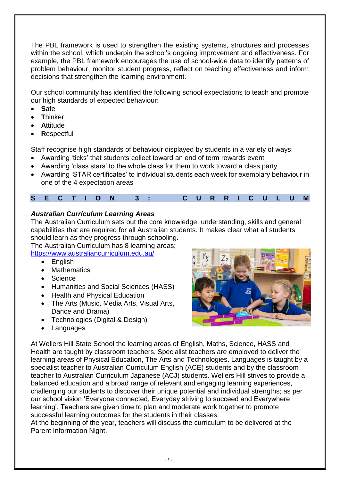The PBL framework is used to strengthen the existing systems, structures and processes within the school, which underpin the school's ongoing improvement and effectiveness. For example, the PBL framework encourages the use of school-wide data to identify patterns of problem behaviour, monitor student progress, reflect on teaching effectiveness and inform decisions that strengthen the learning environment.

Our school community has identified the following school expectations to teach and promote our high standards of expected behaviour:

- **S**afe
- **T**hinker
- **A**ttitude
- **R**espectful

Staff recognise high standards of behaviour displayed by students in a variety of ways:

- Awarding 'ticks' that students collect toward an end of term rewards event
- Awarding 'class stars' to the whole class for them to work toward a class party
- Awarding 'STAR certificates' to individual students each week for exemplary behaviour in one of the 4 expectation areas

# **S E C T I O N 3 : C U R R I C U L U M**

# *Australian Curriculum Learning Areas*

The Australian Curriculum sets out the core knowledge, understanding, skills and general capabilities that are required for all Australian students. It makes clear what all students should learn as they progress through schooling.

The Australian Curriculum has 8 learning areas; <https://www.australiancurriculum.edu.au/>

- English
- Mathematics
- Science
- Humanities and Social Sciences (HASS)
- Health and Physical Education
- The Arts (Music, Media Arts, Visual Arts, Dance and Drama)
- Technologies (Digital & Design)
- Languages



At Wellers Hill State School the learning areas of English, Maths, Science, HASS and Health are taught by classroom teachers. Specialist teachers are employed to deliver the learning areas of Physical Education, The Arts and Technologies. Languages is taught by a specialist teacher to Australian Curriculum English (ACE) students and by the classroom teacher to Australian Curriculum Japanese (ACJ) students. Wellers Hill strives to provide a balanced education and a broad range of relevant and engaging learning experiences, challenging our students to discover their unique potential and individual strengths; as per our school vision 'Everyone connected, Everyday striving to succeed and Everywhere learning'. Teachers are given time to plan and moderate work together to promote successful learning outcomes for the students in their classes.

At the beginning of the year, teachers will discuss the curriculum to be delivered at the Parent Information Night.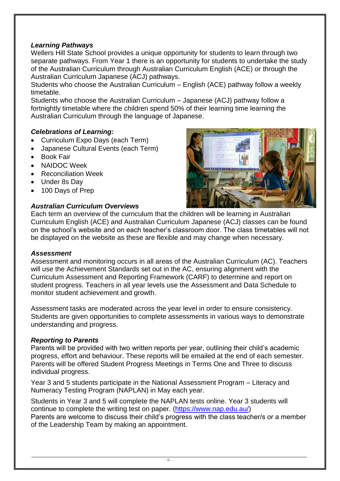# *Learning Pathways*

Wellers Hill State School provides a unique opportunity for students to learn through two separate pathways. From Year 1 there is an opportunity for students to undertake the study of the Australian Curriculum through Australian Curriculum English (ACE) or through the Australian Curriculum Japanese (ACJ) pathways.

Students who choose the Australian Curriculum – English (ACE) pathway follow a weekly timetable.

Students who choose the Australian Curriculum – Japanese (ACJ) pathway follow a fortnightly timetable where the children spend 50% of their learning time learning the Australian Curriculum through the language of Japanese.

# *Celebrations of Learning:*

- Curriculum Expo Days (each Term)
- Japanese Cultural Events (each Term)
- Book Fair
- NAIDOC Week
- Reconciliation Week
- Under 8s Day
- 100 Days of Prep

## *Australian Curriculum Overviews*



Each term an overview of the curriculum that the children will be learning in Australian Curriculum English (ACE) and Australian Curriculum Japanese (ACJ) classes can be found on the school's website and on each teacher's classroom door. The class timetables will not be displayed on the website as these are flexible and may change when necessary.

#### *Assessment*

Assessment and monitoring occurs in all areas of the Australian Curriculum (AC). Teachers will use the Achievement Standards set out in the AC, ensuring alignment with the Curriculum Assessment and Reporting Framework (CARF) to determine and report on student progress. Teachers in all year levels use the Assessment and Data Schedule to monitor student achievement and growth.

Assessment tasks are moderated across the year level in order to ensure consistency. Students are given opportunities to complete assessments in various ways to demonstrate understanding and progress.

# *Reporting to Parents*

Parents will be provided with two written reports per year, outlining their child's academic progress, effort and behaviour. These reports will be emailed at the end of each semester. Parents will be offered Student Progress Meetings in Terms One and Three to discuss individual progress.

Year 3 and 5 students participate in the National Assessment Program – Literacy and Numeracy Testing Program (NAPLAN) in May each year.

Students in Year 3 and 5 will complete the NAPLAN tests online. Year 3 students will continue to complete the writing test on paper. [\(https://www.nap.edu.au/\)](https://www.nap.edu.au/) Parents are welcome to discuss their child's progress with the class teacher/s or a member of the Leadership Team by making an appointment.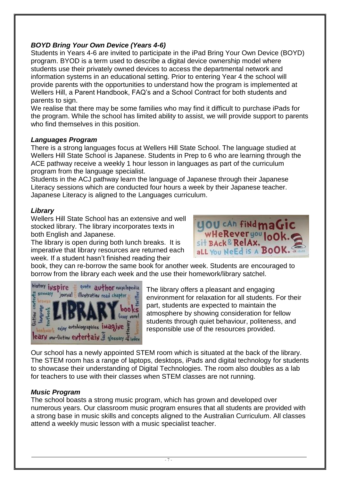# *BOYD Bring Your Own Device (Years 4-6)*

Students in Years 4-6 are invited to participate in the iPad Bring Your Own Device (BOYD) program. BYOD is a term used to describe a digital device ownership model where students use their privately owned devices to access the departmental network and information systems in an educational setting. Prior to entering Year 4 the school will provide parents with the opportunities to understand how the program is implemented at Wellers Hill, a Parent Handbook, FAQ's and a School Contract for both students and parents to sign.

We realise that there may be some families who may find it difficult to purchase iPads for the program. While the school has limited ability to assist, we will provide support to parents who find themselves in this position.

#### *Languages Program*

There is a strong languages focus at Wellers Hill State School. The language studied at Wellers Hill State School is Japanese. Students in Prep to 6 who are learning through the ACE pathway receive a weekly 1 hour lesson in languages as part of the curriculum program from the language specialist.

Students in the ACJ pathway learn the language of Japanese through their Japanese Literacy sessions which are conducted four hours a week by their Japanese teacher. Japanese Literacy is aligned to the Languages curriculum.

## *Library*

Wellers Hill State School has an extensive and well stocked library. The library incorporates texts in both English and Japanese.

The library is open during both lunch breaks. It is imperative that library resources are returned each week. If a student hasn't finished reading their



book, they can re-borrow the same book for another week. Students are encouraged to borrow from the library each week and the use their homework/library satchel.



The library offers a pleasant and engaging environment for relaxation for all students. For their part, students are expected to maintain the atmosphere by showing consideration for fellow students through quiet behaviour, politeness, and responsible use of the resources provided.

Our school has a newly appointed STEM room which is situated at the back of the library. The STEM room has a range of laptops, desktops, iPads and digital technology for students to showcase their understanding of Digital Technologies. The room also doubles as a lab for teachers to use with their classes when STEM classes are not running.

# *Music Program*

The school boasts a strong music program, which has grown and developed over numerous years. Our classroom music program ensures that all students are provided with a strong base in music skills and concepts aligned to the Australian Curriculum. All classes attend a weekly music lesson with a music specialist teacher.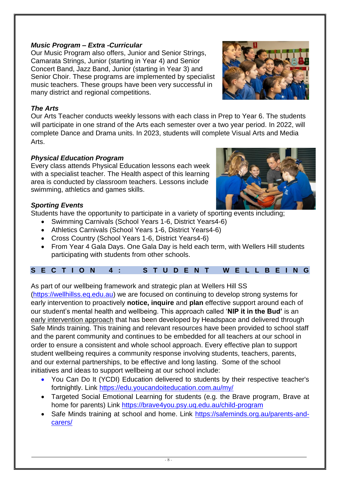#### $-8 -$

# *Music Program – Extra -Curricular*

Our Music Program also offers, Junior and Senior Strings, Camarata Strings, Junior (starting in Year 4) and Senior Concert Band, Jazz Band, Junior (starting in Year 3) and Senior Choir. These programs are implemented by specialist music teachers. These groups have been very successful in many district and regional competitions.

## *The Arts*

Our Arts Teacher conducts weekly lessons with each class in Prep to Year 6. The students will participate in one strand of the Arts each semester over a two year period. In 2022, will complete Dance and Drama units. In 2023, students will complete Visual Arts and Media Arts.

# *Physical Education Program*

Every class attends Physical Education lessons each week with a specialist teacher. The Health aspect of this learning area is conducted by classroom teachers. Lessons include swimming, athletics and games skills.

# *Sporting Events*

Students have the opportunity to participate in a variety of sporting events including:

- Swimming Carnivals (School Years 1-6, District Years4-6)
- Athletics Carnivals (School Years 1-6, District Years4-6)
- Cross Country (School Years 1-6, District Years4-6)
- From Year 4 Gala Days. One Gala Day is held each term, with Wellers Hill students participating with students from other schools.

| SECTION 4: STUDENT WELLBEING |  |  |
|------------------------------|--|--|
|------------------------------|--|--|

As part of our wellbeing framework and strategic plan at Wellers Hill SS

[\(https://wellhillss.eq.edu.au\)](https://wellhillss.eq.edu.au/) we are focused on continuing to develop strong systems for early intervention to proactively **notice, inquire** and **plan** effective support around each of our student's mental health and wellbeing. This approach called '**NIP it in the Bud'** is an early intervention approach that has been developed by Headspace and delivered through Safe Minds training. This training and relevant resources have been provided to school staff and the parent community and continues to be embedded for all teachers at our school in order to ensure a consistent and whole school approach. Every effective plan to support student wellbeing requires a community response involving students, teachers, parents, and our external partnerships, to be effective and long lasting. Some of the school initiatives and ideas to support wellbeing at our school include:

- You Can Do It (YCDI) Education delivered to students by their respective teacher's fortnightly. Link<https://edu.youcandoiteducation.com.au/my/>
- Targeted Social Emotional Learning for students (e.g. the Brave program, Brave at home for parents) Link<https://brave4you.psy.uq.edu.au/child-program>
- Safe Minds training at school and home. Link [https://safeminds.org.au/parents-and](https://safeminds.org.au/parents-and-carers/)[carers/](https://safeminds.org.au/parents-and-carers/)



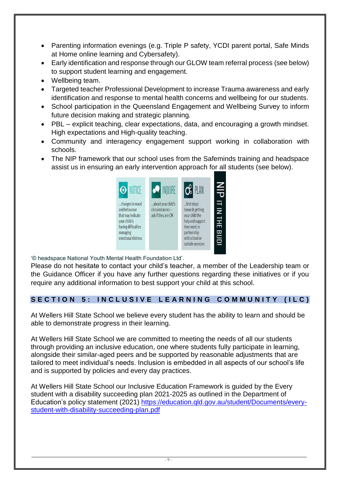- Parenting information evenings (e.g. Triple P safety, YCDI parent portal, Safe Minds at Home online learning and Cybersafety).
- Early identification and response through our GLOW team referral process (see below) to support student learning and engagement.
- Wellbeing team.
- Targeted teacher Professional Development to increase Trauma awareness and early identification and response to mental health concerns and wellbeing for our students.
- School participation in the Queensland Engagement and Wellbeing Survey to inform future decision making and strategic planning.
- PBL explicit teaching, clear expectations, data, and encouraging a growth mindset. High expectations and High-quality teaching.
- Community and interagency engagement support working in collaboration with schools.
- The NIP framework that our school uses from the Safeminds training and headspace assist us in ensuring an early intervention approach for all students (see below).



'© headspace National Youth Mental Health Foundation Ltd'.

Please do not hesitate to contact your child's teacher, a member of the Leadership team or the Guidance Officer if you have any further questions regarding these initiatives or if you require any additional information to best support your child at this school.

# SECTION 5: INCLUSIVE LEARNING COMMUNITY (ILC)

At Wellers Hill State School we believe every student has the ability to learn and should be able to demonstrate progress in their learning.

At Wellers Hill State School we are committed to meeting the needs of all our students through providing an inclusive education, one where students fully participate in learning, alongside their similar-aged peers and be supported by reasonable adjustments that are tailored to meet individual's needs. Inclusion is embedded in all aspects of our school's life and is supported by policies and every day practices.

At Wellers Hill State School our Inclusive Education Framework is guided by the Every student with a disability succeeding plan 2021-2025 as outlined in the Department of Education's policy statement (2021) [https://education.qld.gov.au/student/Documents/every](https://education.qld.gov.au/student/Documents/every-student-with-disability-succeeding-plan.pdf)[student-with-disability-succeeding-plan.pdf](https://education.qld.gov.au/student/Documents/every-student-with-disability-succeeding-plan.pdf)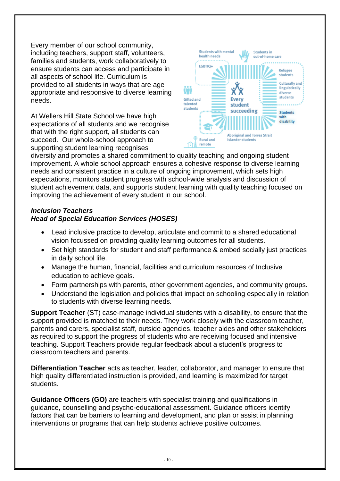Every member of our school community, including teachers, support staff, volunteers, families and students, work collaboratively to ensure students can access and participate in all aspects of school life. Curriculum is provided to all students in ways that are age appropriate and responsive to diverse learning needs.

At Wellers Hill State School we have high expectations of all students and we recognise that with the right support, all students can succeed. Our whole-school approach to supporting student learning recognises



diversity and promotes a shared commitment to quality teaching and ongoing student improvement. A whole school approach ensures a cohesive response to diverse learning needs and consistent practice in a culture of ongoing improvement, which sets high expectations, monitors student progress with school-wide analysis and discussion of student achievement data, and supports student learning with quality teaching focused on improving the achievement of every student in our school.

# *Inclusion Teachers Head of Special Education Services (HOSES)*

- Lead inclusive practice to develop, articulate and commit to a shared educational vision focussed on providing quality learning outcomes for all students.
- Set high standards for student and staff performance & embed socially just practices in daily school life.
- Manage the human, financial, facilities and curriculum resources of Inclusive education to achieve goals.
- Form partnerships with parents, other government agencies, and community groups.
- Understand the legislation and policies that impact on schooling especially in relation to students with diverse learning needs.

**Support Teacher** (ST) case-manage individual students with a disability, to ensure that the support provided is matched to their needs. They work closely with the classroom teacher, parents and carers, specialist staff, outside agencies, teacher aides and other stakeholders as required to support the progress of students who are receiving focused and intensive teaching. Support Teachers provide regular feedback about a student's progress to classroom teachers and parents.

**Differentiation Teacher** acts as teacher, leader, collaborator, and manager to ensure that high quality differentiated instruction is provided, and learning is maximized for target students.

**Guidance Officers (GO)** are teachers with specialist training and qualifications in guidance, counselling and psycho-educational assessment. Guidance officers identify factors that can be barriers to learning and development, and plan or assist in planning interventions or programs that can help students achieve positive outcomes.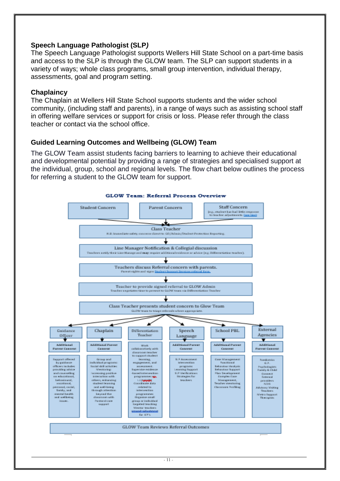## **Speech Language Pathologist (SLP***)*

The Speech Language Pathologist supports Wellers Hill State School on a part-time basis and access to the SLP is through the GLOW team. The SLP can support students in a variety of ways; whole class programs, small group intervention, individual therapy, assessments, goal and program setting.

#### **Chaplaincy**

The Chaplain at Wellers Hill State School supports students and the wider school community, (including staff and parents), in a range of ways such as assisting school staff in offering welfare services or support for crisis or loss. Please refer through the class teacher or contact via the school office.

# **Guided Learning Outcomes and Wellbeing (GLOW) Team**

The GLOW Team assist students facing barriers to learning to achieve their educational and developmental potential by providing a range of strategies and specialised support at the individual, group, school and regional levels. The flow chart below outlines the process for referring a student to the GLOW team for support.

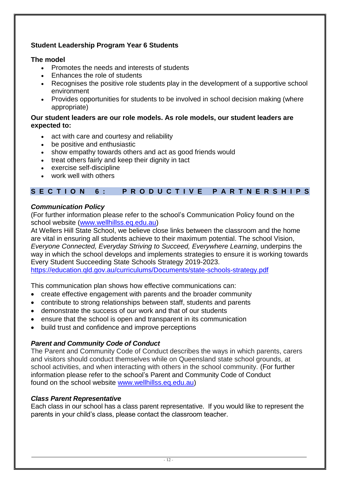# **Student Leadership Program Year 6 Students**

## **The model**

- Promotes the needs and interests of students
- Enhances the role of students
- Recognises the positive role students play in the development of a supportive school environment
- Provides opportunities for students to be involved in school decision making (where appropriate)

#### **Our student leaders are our role models. As role models, our student leaders are expected to:**

- act with care and courtesy and reliability
- be positive and enthusiastic
- show empathy towards others and act as good friends would
- treat others fairly and keep their dignity in tact
- exercise self-discipline
- work well with others

# **S E C T I O N 6 : P R O D U C T I V E P A R T N E R S H I P S**

# *Communication Policy*

(For further information please refer to the school's Communication Policy found on the school website [\(www.wellhillss.eq.edu.au\)](http://www.wellhillss.eq.edu.au/)

At Wellers Hill State School, we believe close links between the classroom and the home are vital in ensuring all students achieve to their maximum potential. The school Vision, *Everyone Connected, Everyday Striving to Succeed, Everywhere Learning*, underpins the way in which the school develops and implements strategies to ensure it is working towards Every Student Succeeding State Schools Strategy 2019-2023.

<https://education.qld.gov.au/curriculums/Documents/state-schools-strategy.pdf>

This communication plan shows how effective communications can:

- create effective engagement with parents and the broader community
- contribute to strong relationships between staff, students and parents
- demonstrate the success of our work and that of our students
- ensure that the school is open and transparent in its communication
- build trust and confidence and improve perceptions

#### *Parent and Community Code of Conduct*

The Parent and Community Code of Conduct describes the ways in which parents, carers and visitors should conduct themselves while on Queensland state school grounds, at school activities, and when interacting with others in the school community. (For further information please refer to the school's Parent and Community Code of Conduct found on the school website [www.wellhillss.eq.edu.au\)](http://www.wellhillss.eq.edu.au/)

# *Class Parent Representative*

Each class in our school has a class parent representative. If you would like to represent the parents in your child's class, please contact the classroom teacher.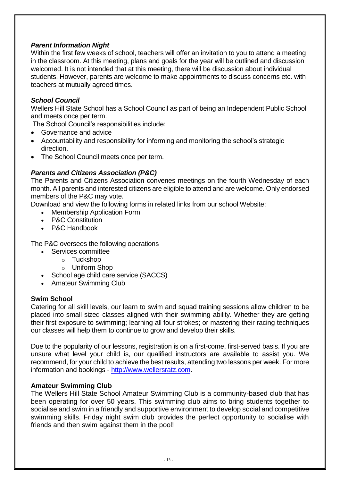# *Parent Information Night*

Within the first few weeks of school, teachers will offer an invitation to you to attend a meeting in the classroom. At this meeting, plans and goals for the year will be outlined and discussion welcomed. It is not intended that at this meeting, there will be discussion about individual students. However, parents are welcome to make appointments to discuss concerns etc. with teachers at mutually agreed times.

# *School Council*

Wellers Hill State School has a School Council as part of being an Independent Public School and meets once per term.

The School Council's responsibilities include:

- Governance and advice
- Accountability and responsibility for informing and monitoring the school's strategic direction.
- The School Council meets once per term.

# *Parents and Citizens Association (P&C)*

The Parents and Citizens Association convenes meetings on the fourth Wednesday of each month. All parents and interested citizens are eligible to attend and are welcome. Only endorsed members of the P&C may vote.

Download and view the following forms in related links from our school Website:

- Membership Application Form
- **P&C Constitution**
- P&C Handbook

The P&C oversees the following operations

- Services committee
	- o Tuckshop
	- o Uniform Shop
- School age child care service (SACCS)
- Amateur Swimming Club

#### **Swim School**

Catering for all skill levels, our learn to swim and squad training sessions allow children to be placed into small sized classes aligned with their swimming ability. Whether they are getting their first exposure to swimming; learning all four strokes; or mastering their racing techniques our classes will help them to continue to grow and develop their skills.

Due to the popularity of our lessons, registration is on a first-come, first-served basis. If you are unsure what level your child is, our qualified instructors are available to assist you. We recommend, for your child to achieve the best results, attending two lessons per week. For more information and bookings - [http://www.wellersratz.com.](http://www.wellersratz.com/)

#### **Amateur Swimming Club**

The Wellers Hill State School Amateur Swimming Club is a community-based club that has been operating for over 50 years. This swimming club aims to bring students together to socialise and swim in a friendly and supportive environment to develop social and competitive swimming skills. Friday night swim club provides the perfect opportunity to socialise with friends and then swim against them in the pool!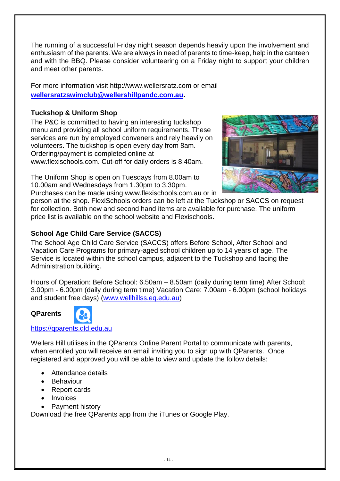The running of a successful Friday night season depends heavily upon the involvement and enthusiasm of the parents. We are always in need of parents to time-keep, help in the canteen and with the BBQ. Please consider volunteering on a Friday night to support your children and meet other parents.

For more information visit http://www.wellersratz.com or email **[wellersratzswimclub@wellershillpandc.com.au.](mailto:wellersratzswimclub@wellershillpandc.com.au)**

# **Tuckshop & Uniform Shop**

The P&C is committed to having an interesting tuckshop menu and providing all school uniform requirements. These services are run by employed conveners and rely heavily on volunteers. The tuckshop is open every day from 8am. Ordering/payment is completed online at www.flexischools.com. Cut-off for daily orders is 8.40am.

The Uniform Shop is open on Tuesdays from 8.00am to 10.00am and Wednesdays from 1.30pm to 3.30pm. Purchases can be made using www.flexischools.com.au or in



person at the shop. FlexiSchools orders can be left at the Tuckshop or SACCS on request for collection. Both new and second hand items are available for purchase. The uniform price list is available on the school website and Flexischools.

# **School Age Child Care Service (SACCS)**

The School Age Child Care Service (SACCS) offers Before School, After School and Vacation Care Programs for primary-aged school children up to 14 years of age. The Service is located within the school campus, adjacent to the Tuckshop and facing the Administration building.

Hours of Operation: Before School: 6.50am – 8.50am (daily during term time) After School: 3.00pm - 6.00pm (daily during term time) Vacation Care: 7.00am - 6.00pm (school holidays and student free days) [\(www.wellhillss.eq.edu.au\)](http://www.wellhillss.eq.edu.au/)

# **QParents**



Wellers Hill utilises in the QParents Online Parent Portal to communicate with parents, when enrolled you will receive an email inviting you to sign up with QParents. Once registered and approved you will be able to view and update the follow details:

- Attendance details
- Behaviour
- Report cards
- Invoices
- Payment history

Download the free QParents app from the iTunes or Google Play.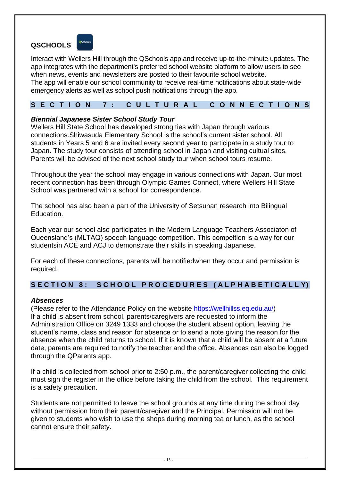# **QSCHOOLS**



Interact with Wellers Hill through the [QSchools app](https://det.qld.gov.au/about-us/det-apps/qschools) and receive up-to-the-minute updates. The app integrates with the department's preferred school website platform to allow users to see when news, events and newsletters are posted to their favourite school website.

The app will enable our school community to receive real-time notifications about state-wide emergency alerts as well as school push notifications through the app.

## **S E C T I O N 7 : C U L T U R A L C O N N E C T I O N S**

#### *Biennial Japanese Sister School Study Tour*

Wellers Hill State School has developed strong ties with Japan through various connections.Shiwasuda Elementary School is the school's current sister school. All students in Years 5 and 6 are invited every second year to participate in a study tour to Japan. The study tour consists of attending school in Japan and visiting cultual sites. Parents will be advised of the next school study tour when school tours resume.

Throughout the year the school may engage in various connections with Japan. Our most recent connection has been through Olympic Games Connect, where Wellers Hill State School was partnered with a school for correspondence.

The school has also been a part of the University of Setsunan research into Bilingual Education.

Each year our school also participates in the Modern Language Teachers Associaton of Queensland's (MLTAQ) speech language competition. This compeition is a way for our studentsin ACE and ACJ to demonstrate their skills in speaking Japanese.

For each of these connections, parents will be notifiedwhen they occur and permission is required.

# **S E C T I O N 8 : S C H O O L P R O C E D U R E S ( A L P H A B E T I C A L L Y)**

#### *Absences*

(Please refer to the Attendance Policy on the website [https://wellhillss.eq.edu.au/\)](https://wellhillss.eq.edu.au/) If a child is absent from school, parents/caregivers are requested to inform the Administration Office on 3249 1333 and choose the student absent option, leaving the student's name, class and reason for absence or to send a note giving the reason for the absence when the child returns to school. If it is known that a child will be absent at a future date, parents are required to notify the teacher and the office. Absences can also be logged through the QParents app.

If a child is collected from school prior to 2:50 p.m., the parent/caregiver collecting the child must sign the register in the office before taking the child from the school. This requirement is a safety precaution.

Students are not permitted to leave the school grounds at any time during the school day without permission from their parent/caregiver and the Principal. Permission will not be given to students who wish to use the shops during morning tea or lunch, as the school cannot ensure their safety.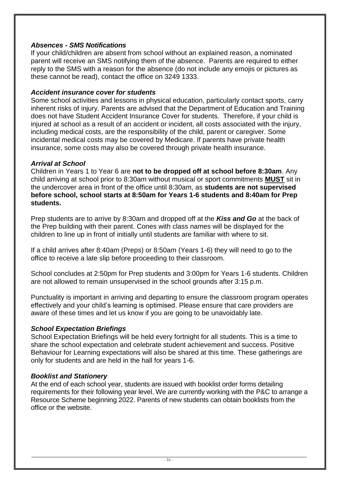## *Absences - SMS Notifications*

If your child/children are absent from school without an explained reason, a nominated parent will receive an SMS notifying them of the absence. Parents are required to either reply to the SMS with a reason for the absence (do not include any emojis or pictures as these cannot be read), contact the office on 3249 1333.

#### *Accident insurance cover for students*

Some school activities and lessons in physical education, particularly contact sports, carry inherent risks of injury. Parents are advised that the Department of Education and Training does not have Student Accident Insurance Cover for students. Therefore, if your child is injured at school as a result of an accident or incident, all costs associated with the injury, including medical costs, are the responsibility of the child, parent or caregiver. Some incidental medical costs may be covered by Medicare. If parents have private health insurance, some costs may also be covered through private health insurance.

#### *Arrival at School*

Children in Years 1 to Year 6 are **not to be dropped off at school before 8:30am**. Any child arriving at school prior to 8:30am without musical or sport commitments **MUST** sit in the undercover area in front of the office until 8:30am, as **students are not supervised before school, school starts at 8:50am for Years 1-6 students and 8:40am for Prep students.**

Prep students are to arrive by 8:30am and dropped off at the *Kiss and Go* at the back of the Prep building with their parent. Cones with class names will be displayed for the children to line up in front of initially until students are familiar with where to sit.

If a child arrives after 8:40am (Preps) or 8:50am (Years 1-6) they will need to go to the office to receive a late slip before proceeding to their classroom.

School concludes at 2:50pm for Prep students and 3:00pm for Years 1-6 students. Children are not allowed to remain unsupervised in the school grounds after 3:15 p.m.

Punctuality is important in arriving and departing to ensure the classroom program operates effectively and your child's learning is optimised. Please ensure that care providers are aware of these times and let us know if you are going to be unavoidably late.

#### *School Expectation Briefings*

School Expectation Briefings will be held every fortnight for all students. This is a time to share the school expectation and celebrate student achievement and success. Positive Behaviour for Learning expectations will also be shared at this time. These gatherings are only for students and are held in the hall for years 1-6.

#### *Booklist and Stationery*

At the end of each school year, students are issued with booklist order forms detailing requirements for their following year level. We are currently working with the P&C to arrange a Resource Scheme beginning 2022. Parents of new students can obtain booklists from the office or the website.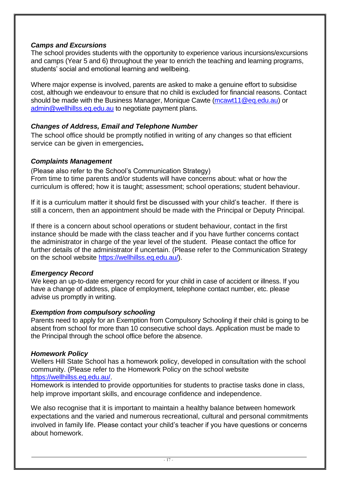## *Camps and Excursions*

The school provides students with the opportunity to experience various incursions/excursions and camps (Year 5 and 6) throughout the year to enrich the teaching and learning programs, students' social and emotional learning and wellbeing.

Where major expense is involved, parents are asked to make a genuine effort to subsidise cost, although we endeavour to ensure that no child is excluded for financial reasons. Contact should be made with the Business Manager, Monique Cawte [\(mcawt11@eq.edu.au\)](mailto:mcawt11@eq.edu.au) or [admin@wellhillss.eq.edu.au](mailto:admin@wellhillss.eq.edu.au) to negotiate payment plans.

## *Changes of Address, Email and Telephone Number*

The school office should be promptly notified in writing of any changes so that efficient service can be given in emergencies**.** 

#### *Complaints Management*

(Please also refer to the School's Communication Strategy) From time to time parents and/or students will have concerns about: what or how the curriculum is offered; how it is taught; assessment; school operations; student behaviour.

If it is a curriculum matter it should first be discussed with your child's teacher. If there is still a concern, then an appointment should be made with the Principal or Deputy Principal.

If there is a concern about school operations or student behaviour, contact in the first instance should be made with the class teacher and if you have further concerns contact the administrator in charge of the year level of the student. Please contact the office for further details of the administrator if uncertain. (Please refer to the Communication Strategy on the school website [https://wellhillss.eq.edu.au/\)](https://wellhillss.eq.edu.au/).

#### *Emergency Record*

We keep an up-to-date emergency record for your child in case of accident or illness. If you have a change of address, place of employment, telephone contact number, etc. please advise us promptly in writing.

# *Exemption from compulsory schooling*

Parents need to apply for an Exemption from Compulsory Schooling if their child is going to be absent from school for more than 10 consecutive school days. Application must be made to the Principal through the school office before the absence.

#### *Homework Policy*

Wellers Hill State School has a homework policy, developed in consultation with the school community. (Please refer to the Homework Policy on the school website [https://wellhillss.eq.edu.au/.](https://wellhillss.eq.edu.au/)

Homework is intended to provide opportunities for students to practise tasks done in class, help improve important skills, and encourage confidence and independence.

We also recognise that it is important to maintain a healthy balance between homework expectations and the varied and numerous recreational, cultural and personal commitments involved in family life. Please contact your child's teacher if you have questions or concerns about homework.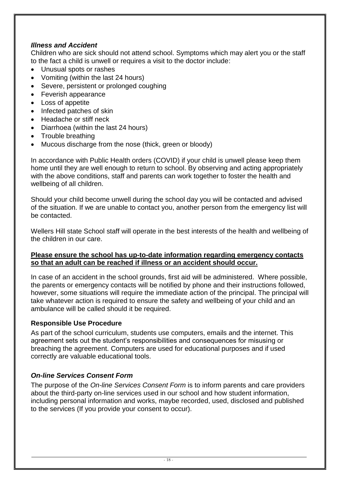# *Illness and Accident*

Children who are sick should not attend school. Symptoms which may alert you or the staff to the fact a child is unwell or requires a visit to the doctor include:

- Unusual spots or rashes
- Vomiting (within the last 24 hours)
- Severe, persistent or prolonged coughing
- Feverish appearance
- Loss of appetite
- Infected patches of skin
- Headache or stiff neck
- Diarrhoea (within the last 24 hours)
- Trouble breathing
- Mucous discharge from the nose (thick, green or bloody)

In accordance with Public Health orders (COVID) if your child is unwell please keep them home until they are well enough to return to school. By observing and acting appropriately with the above conditions, staff and parents can work together to foster the health and wellbeing of all children.

Should your child become unwell during the school day you will be contacted and advised of the situation. If we are unable to contact you, another person from the emergency list will be contacted.

Wellers Hill state School staff will operate in the best interests of the health and wellbeing of the children in our care.

## **Please ensure the school has up-to-date information regarding emergency contacts so that an adult can be reached if illness or an accident should occur.**

In case of an accident in the school grounds, first aid will be administered. Where possible, the parents or emergency contacts will be notified by phone and their instructions followed, however, some situations will require the immediate action of the principal. The principal will take whatever action is required to ensure the safety and wellbeing of your child and an ambulance will be called should it be required.

# **Responsible Use Procedure**

As part of the school curriculum, students use computers, emails and the internet. This agreement sets out the student's responsibilities and consequences for misusing or breaching the agreement. Computers are used for educational purposes and if used correctly are valuable educational tools.

# *On-line Services Consent Form*

The purpose of the *On-line Services Consent Form* is to inform parents and care providers about the third-party on-line services used in our school and how student information, including personal information and works, maybe recorded, used, disclosed and published to the services (If you provide your consent to occur).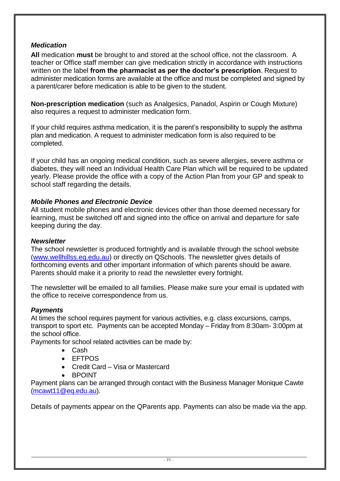# *Medication*

**All** medication **must** be brought to and stored at the school office, not the classroom. A teacher or Office staff member can give medication strictly in accordance with instructions written on the label **from the pharmacist as per the doctor's prescription**. Request to administer medication forms are available at the office and must be completed and signed by a parent/carer before medication is able to be given to the student.

**Non-prescription medication** (such as Analgesics, Panadol, Aspirin or Cough Mixture) also requires a request to administer medication form.

If your child requires asthma medication, it is the parent's responsibility to supply the asthma plan and medication. A request to administer medication form is also required to be completed.

If your child has an ongoing medical condition, such as severe allergies, severe asthma or diabetes, they will need an Individual Health Care Plan which will be required to be updated yearly. Please provide the office with a copy of the Action Plan from your GP and speak to school staff regarding the details.

#### *Mobile Phones and Electronic Device*

All student mobile phones and electronic devices other than those deemed necessary for learning, must be switched off and signed into the office on arrival and departure for safe keeping during the day.

#### *Newsletter*

The school newsletter is produced fortnightly and is available through the school website [\(www.wellhillss.eq.edu.au\)](http://www.wellhillss.eq.edu.au/) or directly on QSchools. The newsletter gives details of forthcoming events and other important information of which parents should be aware. Parents should make it a priority to read the newsletter every fortnight.

The newsletter will be emailed to all families. Please make sure your email is updated with the office to receive correspondence from us.

#### *Payments*

At times the school requires payment for various activities, e.g. class excursions, camps, transport to sport etc. Payments can be accepted Monday – Friday from 8:30am- 3:00pm at the school office.

Payments for school related activities can be made by:

- Cash
- EFTPOS
- Credit Card Visa or Mastercard
- BPOINT

Payment plans can be arranged through contact with the Business Manager Monique Cawte [\(mcawt11@eq.edu.au\)](mailto:mcawt11@eq.edu.au).

Details of payments appear on the QParents app. Payments can also be made via the app.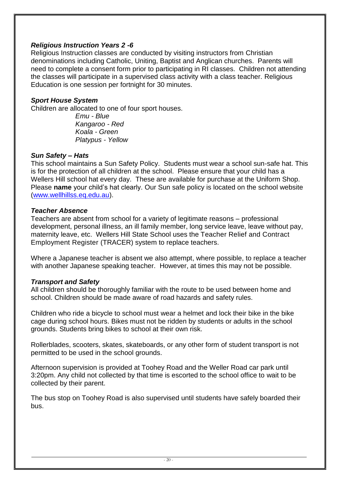#### *Religious Instruction Years 2 -6*

Religious Instruction classes are conducted by visiting instructors from Christian denominations including Catholic, Uniting, Baptist and Anglican churches. Parents will need to complete a consent form prior to participating in RI classes. Children not attending the classes will participate in a supervised class activity with a class teacher. Religious Education is one session per fortnight for 30 minutes.

#### *Sport House System*

Children are allocated to one of four sport houses.

*Emu - Blue Kangaroo - Red Koala - Green Platypus - Yellow*

## *Sun Safety – Hats*

This school maintains a Sun Safety Policy. Students must wear a school sun-safe hat. This is for the protection of all children at the school. Please ensure that your child has a Wellers Hill school hat every day. These are available for purchase at the Uniform Shop. Please **name** your child's hat clearly. Our Sun safe policy is located on the school website [\(www.wellhillss.eq.edu.au\)](http://www.wellhillss.eq.edu.au/).

#### *Teacher Absence*

Teachers are absent from school for a variety of legitimate reasons – professional development, personal illness, an ill family member, long service leave, leave without pay, maternity leave, etc. Wellers Hill State School uses the Teacher Relief and Contract Employment Register (TRACER) system to replace teachers.

Where a Japanese teacher is absent we also attempt, where possible, to replace a teacher with another Japanese speaking teacher. However, at times this may not be possible.

#### *Transport and Safety*

All children should be thoroughly familiar with the route to be used between home and school. Children should be made aware of road hazards and safety rules.

Children who ride a bicycle to school must wear a helmet and lock their bike in the bike cage during school hours. Bikes must not be ridden by students or adults in the school grounds. Students bring bikes to school at their own risk.

Rollerblades, scooters, skates, skateboards, or any other form of student transport is not permitted to be used in the school grounds.

Afternoon supervision is provided at Toohey Road and the Weller Road car park until 3:20pm. Any child not collected by that time is escorted to the school office to wait to be collected by their parent.

The bus stop on Toohey Road is also supervised until students have safely boarded their bus.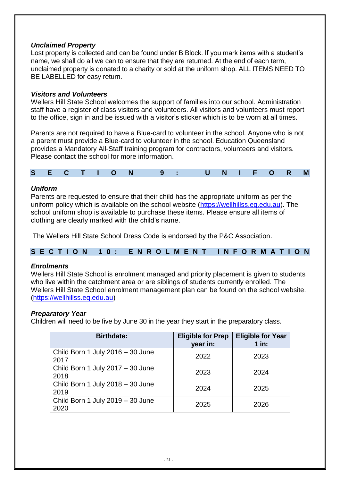# *Unclaimed Property*

Lost property is collected and can be found under B Block. If you mark items with a student's name, we shall do all we can to ensure that they are returned. At the end of each term, unclaimed property is donated to a charity or sold at the uniform shop. ALL ITEMS NEED TO BE LABELLED for easy return.

# *Visitors and Volunteers*

Wellers Hill State School welcomes the support of families into our school. Administration staff have a register of class visitors and volunteers. All visitors and volunteers must report to the office, sign in and be issued with a visitor's sticker which is to be worn at all times.

Parents are not required to have a Blue-card to volunteer in the school. Anyone who is not a parent must provide a Blue-card to volunteer in the school. Education Queensland provides a Mandatory All-Staff training program for contractors, volunteers and visitors. Please contact the school for more information.

| <b>C</b><br>r. |  |  |  |  | $\blacksquare$ |  |  |  | <b>Contract Contract Contract Contract Contract Contract Contract Contract Contract Contract Contract Contract Co</b> |  |  |  | $\blacksquare$ | $\blacksquare$ |  |
|----------------|--|--|--|--|----------------|--|--|--|-----------------------------------------------------------------------------------------------------------------------|--|--|--|----------------|----------------|--|
|----------------|--|--|--|--|----------------|--|--|--|-----------------------------------------------------------------------------------------------------------------------|--|--|--|----------------|----------------|--|

## *Uniform*

Parents are requested to ensure that their child has the appropriate uniform as per the uniform policy which is available on the school website [\(https://wellhillss.eq.edu.au\)](https://wellhillss.eq.edu.au/). The school uniform shop is available to purchase these items. Please ensure all items of clothing are clearly marked with the child's name.

The Wellers Hill State School Dress Code is endorsed by the P&C Association.

#### **S E C T I O N 1 0 : E N R O L M E N T I N F O R M A T I O N**

#### *Enrolments*

Wellers Hill State School is enrolment managed and priority placement is given to students who live within the catchment area or are siblings of students currently enrolled. The Wellers Hill State School enrolment management plan can be found on the school website. [\(https://wellhillss.eq.edu.au\)](https://wellhillss.eq.edu.au/)

#### *Preparatory Year*

Children will need to be five by June 30 in the year they start in the preparatory class.

| <b>Birthdate:</b>                        | <b>Eligible for Prep</b><br>year in: | <b>Eligible for Year</b><br>$1$ in: |
|------------------------------------------|--------------------------------------|-------------------------------------|
| Child Born 1 July 2016 - 30 June<br>2017 | 2022                                 | 2023                                |
| Child Born 1 July 2017 - 30 June<br>2018 | 2023                                 | 2024                                |
| Child Born 1 July 2018 - 30 June<br>2019 | 2024                                 | 2025                                |
| Child Born 1 July 2019 - 30 June<br>2020 | 2025                                 | 2026                                |